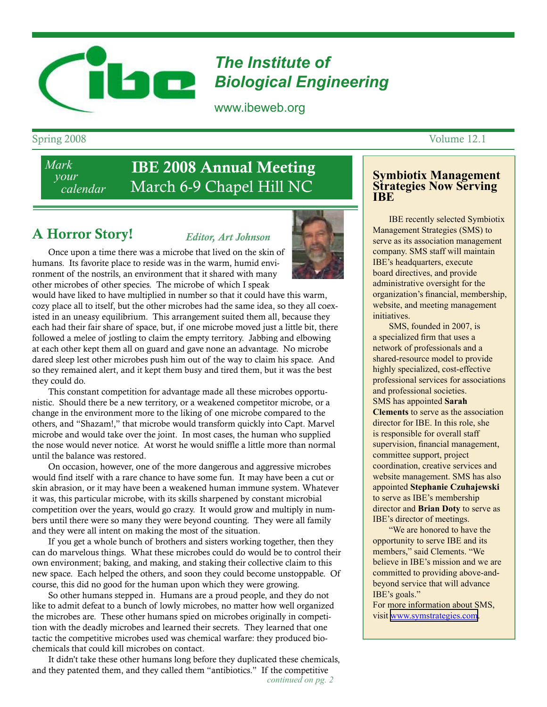# *The Institute of*  **Biological Engineering**

www.ibeweb.org

*Mark your calendar*

# IBE 2008 Annual Meeting March 6-9 Chapel Hill NC

# A Horror Story!

*Editor, Art Johnson*

Once upon a time there was a microbe that lived on the skin of humans. Its favorite place to reside was in the warm, humid environment of the nostrils, an environment that it shared with many other microbes of other species. The microbe of which I speak

would have liked to have multiplied in number so that it could have this warm, cozy place all to itself, but the other microbes had the same idea, so they all coexisted in an uneasy equilibrium. This arrangement suited them all, because they each had their fair share of space, but, if one microbe moved just a little bit, there followed a melee of jostling to claim the empty territory. Jabbing and elbowing at each other kept them all on guard and gave none an advantage. No microbe dared sleep lest other microbes push him out of the way to claim his space. And so they remained alert, and it kept them busy and tired them, but it was the best they could do.

This constant competition for advantage made all these microbes opportunistic. Should there be a new territory, or a weakened competitor microbe, or a change in the environment more to the liking of one microbe compared to the others, and "Shazam!," that microbe would transform quickly into Capt. Marvel microbe and would take over the joint. In most cases, the human who supplied the nose would never notice. At worst he would sniffle a little more than normal until the balance was restored.

On occasion, however, one of the more dangerous and aggressive microbes would find itself with a rare chance to have some fun. It may have been a cut or skin abrasion, or it may have been a weakened human immune system. Whatever it was, this particular microbe, with its skills sharpened by constant microbial competition over the years, would go crazy. It would grow and multiply in numbers until there were so many they were beyond counting. They were all family and they were all intent on making the most of the situation.

If you get a whole bunch of brothers and sisters working together, then they can do marvelous things. What these microbes could do would be to control their own environment; baking, and making, and staking their collective claim to this new space. Each helped the others, and soon they could become unstoppable. Of course, this did no good for the human upon which they were growing.

So other humans stepped in. Humans are a proud people, and they do not like to admit defeat to a bunch of lowly microbes, no matter how well organized the microbes are. These other humans spied on microbes originally in competition with the deadly microbes and learned their secrets. They learned that one tactic the competitive microbes used was chemical warfare: they produced biochemicals that could kill microbes on contact.

It didn't take these other humans long before they duplicated these chemicals, and they patented them, and they called them "antibiotics." If the competitive

## **Symbiotix Management Strategies Now Serving IBE**

 IBE recently selected Symbiotix Management Strategies (SMS) to serve as its association management company. SMS staff will maintain IBE's headquarters, execute board directives, and provide administrative oversight for the organization's financial, membership, website, and meeting management initiatives.

 SMS, founded in 2007, is a specialized firm that uses a network of professionals and a shared-resource model to provide highly specialized, cost-effective professional services for associations and professional societies. SMS has appointed **Sarah Clements** to serve as the association director for IBE. In this role, she is responsible for overall staff supervision, financial management, committee support, project coordination, creative services and website management. SMS has also appointed **Stephanie Czuhajewski** to serve as IBE's membership director and **Brian Doty** to serve as IBE's director of meetings.

 "We are honored to have the opportunity to serve IBE and its members," said Clements. "We believe in IBE's mission and we are committed to providing above-andbeyond service that will advance IBE's goals."

For more information about SMS, visit [www.symstrategies.com.](http://www.symstrategies.com)





Spring 2008 Volume 12.1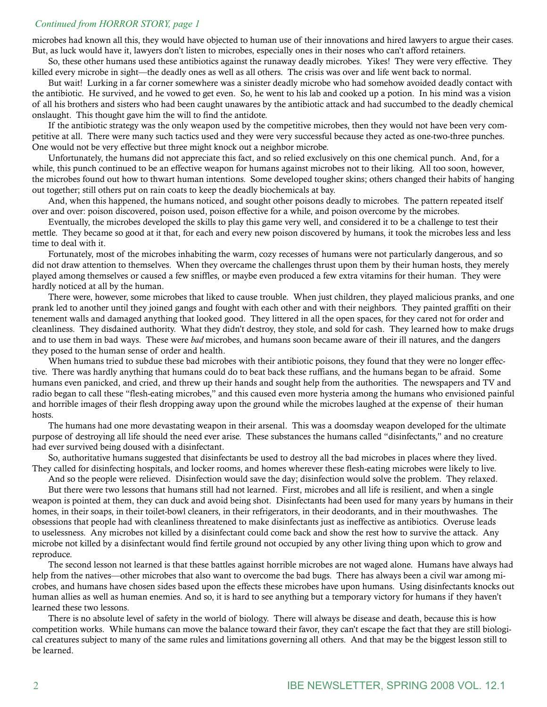#### *Continued from HORROR STORY, page 1*

microbes had known all this, they would have objected to human use of their innovations and hired lawyers to argue their cases. But, as luck would have it, lawyers don't listen to microbes, especially ones in their noses who can't afford retainers.

So, these other humans used these antibiotics against the runaway deadly microbes. Yikes! They were very effective. They killed every microbe in sight—the deadly ones as well as all others. The crisis was over and life went back to normal.

But wait! Lurking in a far corner somewhere was a sinister deadly microbe who had somehow avoided deadly contact with the antibiotic. He survived, and he vowed to get even. So, he went to his lab and cooked up a potion. In his mind was a vision of all his brothers and sisters who had been caught unawares by the antibiotic attack and had succumbed to the deadly chemical onslaught. This thought gave him the will to find the antidote.

If the antibiotic strategy was the only weapon used by the competitive microbes, then they would not have been very competitive at all. There were many such tactics used and they were very successful because they acted as one-two-three punches. One would not be very effective but three might knock out a neighbor microbe.

Unfortunately, the humans did not appreciate this fact, and so relied exclusively on this one chemical punch. And, for a while, this punch continued to be an effective weapon for humans against microbes not to their liking. All too soon, however, the microbes found out how to thwart human intentions. Some developed tougher skins; others changed their habits of hanging out together; still others put on rain coats to keep the deadly biochemicals at bay.

And, when this happened, the humans noticed, and sought other poisons deadly to microbes. The pattern repeated itself over and over: poison discovered, poison used, poison effective for a while, and poison overcome by the microbes.

Eventually, the microbes developed the skills to play this game very well, and considered it to be a challenge to test their mettle. They became so good at it that, for each and every new poison discovered by humans, it took the microbes less and less time to deal with it.

Fortunately, most of the microbes inhabiting the warm, cozy recesses of humans were not particularly dangerous, and so did not draw attention to themselves. When they overcame the challenges thrust upon them by their human hosts, they merely played among themselves or caused a few sniffles, or maybe even produced a few extra vitamins for their human. They were hardly noticed at all by the human.

There were, however, some microbes that liked to cause trouble. When just children, they played malicious pranks, and one prank led to another until they joined gangs and fought with each other and with their neighbors. They painted graffiti on their tenement walls and damaged anything that looked good. They littered in all the open spaces, for they cared not for order and cleanliness. They disdained authority. What they didn't destroy, they stole, and sold for cash. They learned how to make drugs and to use them in bad ways. These were *bad* microbes, and humans soon became aware of their ill natures, and the dangers they posed to the human sense of order and health.

When humans tried to subdue these bad microbes with their antibiotic poisons, they found that they were no longer effective. There was hardly anything that humans could do to beat back these ruffians, and the humans began to be afraid. Some humans even panicked, and cried, and threw up their hands and sought help from the authorities. The newspapers and TV and radio began to call these "flesh-eating microbes," and this caused even more hysteria among the humans who envisioned painful and horrible images of their flesh dropping away upon the ground while the microbes laughed at the expense of their human hosts.

The humans had one more devastating weapon in their arsenal. This was a doomsday weapon developed for the ultimate purpose of destroying all life should the need ever arise. These substances the humans called "disinfectants," and no creature had ever survived being doused with a disinfectant.

So, authoritative humans suggested that disinfectants be used to destroy all the bad microbes in places where they lived. They called for disinfecting hospitals, and locker rooms, and homes wherever these flesh-eating microbes were likely to live.

And so the people were relieved. Disinfection would save the day; disinfection would solve the problem. They relaxed. But there were two lessons that humans still had not learned. First, microbes and all life is resilient, and when a single weapon is pointed at them, they can duck and avoid being shot. Disinfectants had been used for many years by humans in their homes, in their soaps, in their toilet-bowl cleaners, in their refrigerators, in their deodorants, and in their mouthwashes. The obsessions that people had with cleanliness threatened to make disinfectants just as ineffective as antibiotics. Overuse leads to uselessness. Any microbes not killed by a disinfectant could come back and show the rest how to survive the attack. Any microbe not killed by a disinfectant would find fertile ground not occupied by any other living thing upon which to grow and reproduce.

The second lesson not learned is that these battles against horrible microbes are not waged alone. Humans have always had help from the natives—other microbes that also want to overcome the bad bugs. There has always been a civil war among microbes, and humans have chosen sides based upon the effects these microbes have upon humans. Using disinfectants knocks out human allies as well as human enemies. And so, it is hard to see anything but a temporary victory for humans if they haven't learned these two lessons.

There is no absolute level of safety in the world of biology. There will always be disease and death, because this is how competition works. While humans can move the balance toward their favor, they can't escape the fact that they are still biological creatures subject to many of the same rules and limitations governing all others. And that may be the biggest lesson still to be learned.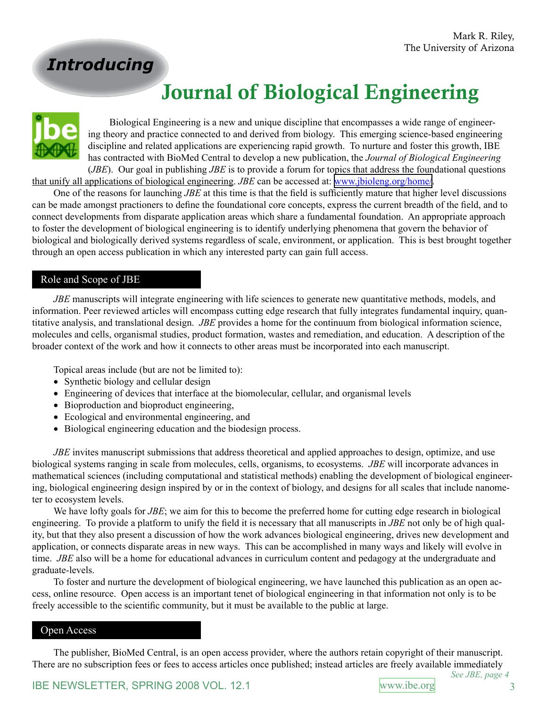*Introducing*

# Journal of Biological Engineering

Biological Engineering is a new and unique discipline that encompasses a wide range of engineering theory and practice connected to and derived from biology. This emerging science-based engineering discipline and related applications are experiencing rapid growth. To nurture and foster this growth, IBE has contracted with BioMed Central to develop a new publication, the *Journal of Biological Engineering* (*JBE*). Our goal in publishing *JBE* is to provide a forum for topics that address the foundational questions

that unify all applications of biological engineering. *JBE* can be accessed at: [www.jbioleng.org/home/.](http://www.jbioleng.org/home/)

One of the reasons for launching *JBE* at this time is that the field is sufficiently mature that higher level discussions can be made amongst practioners to define the foundational core concepts, express the current breadth of the field, and to connect developments from disparate application areas which share a fundamental foundation. An appropriate approach to foster the development of biological engineering is to identify underlying phenomena that govern the behavior of biological and biologically derived systems regardless of scale, environment, or application. This is best brought together through an open access publication in which any interested party can gain full access.

#### Role and Scope of JBE

*JBE* manuscripts will integrate engineering with life sciences to generate new quantitative methods, models, and information. Peer reviewed articles will encompass cutting edge research that fully integrates fundamental inquiry, quantitative analysis, and translational design. *JBE* provides a home for the continuum from biological information science, molecules and cells, organismal studies, product formation, wastes and remediation, and education. A description of the broader context of the work and how it connects to other areas must be incorporated into each manuscript.

Topical areas include (but are not be limited to):

- Synthetic biology and cellular design
- Engineering of devices that interface at the biomolecular, cellular, and organismal levels
- Bioproduction and bioproduct engineering,
- Ecological and environmental engineering, and
- Biological engineering education and the biodesign process.

*JBE* invites manuscript submissions that address theoretical and applied approaches to design, optimize, and use biological systems ranging in scale from molecules, cells, organisms, to ecosystems. *JBE* will incorporate advances in mathematical sciences (including computational and statistical methods) enabling the development of biological engineering, biological engineering design inspired by or in the context of biology, and designs for all scales that include nanometer to ecosystem levels.

We have lofty goals for *JBE*; we aim for this to become the preferred home for cutting edge research in biological engineering. To provide a platform to unify the field it is necessary that all manuscripts in *JBE* not only be of high quality, but that they also present a discussion of how the work advances biological engineering, drives new development and application, or connects disparate areas in new ways. This can be accomplished in many ways and likely will evolve in time. *JBE* also will be a home for educational advances in curriculum content and pedagogy at the undergraduate and graduate-levels.

To foster and nurture the development of biological engineering, we have launched this publication as an open access, online resource. Open access is an important tenet of biological engineering in that information not only is to be freely accessible to the scientific community, but it must be available to the public at large.

#### Open Access

The publisher, BioMed Central, is an open access provider, where the authors retain copyright of their manuscript. There are no subscription fees or fees to access articles once published; instead articles are freely available immediately

*See JBE, page 4*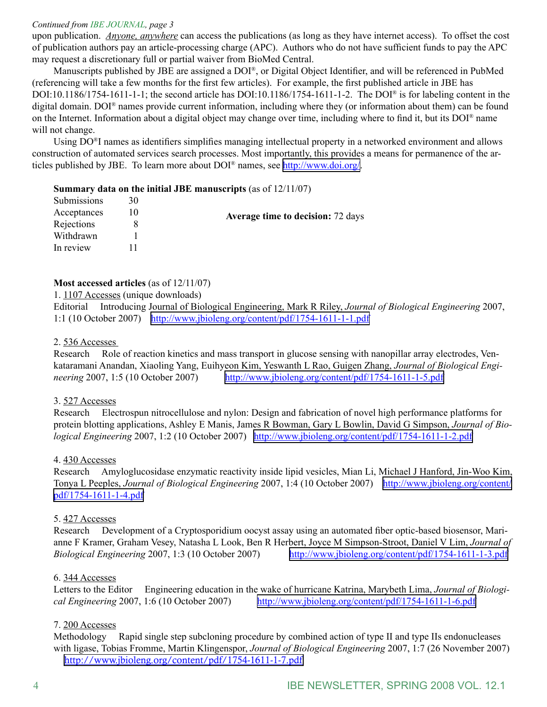#### *Continued from IBE JOURNAL, page 3*

upon publication. *Anyone, anywhere* can access the publications (as long as they have internet access). To offset the cost of publication authors pay an article-processing charge (APC). Authors who do not have sufficient funds to pay the APC may request a discretionary full or partial waiver from BioMed Central.

Manuscripts published by JBE are assigned a DOI®, or Digital Object Identifier, and will be referenced in PubMed (referencing will take a few months for the first few articles). For example, the first published article in JBE has DOI:10.1186/1754-1611-1-1; the second article has DOI:10.1186/1754-1611-1-2. The DOI® is for labeling content in the digital domain. DOI® names provide current information, including where they (or information about them) can be found on the Internet. Information about a digital object may change over time, including where to find it, but its DOI® name will not change.

Using DO®I names as identifiers simplifies managing intellectual property in a networked environment and allows construction of automated services search processes. Most importantly, this provides a means for permanence of the articles published by JBE. To learn more about DOI® names, see <http://www.doi.org/>.

#### **Summary data on the initial JBE manuscripts** (as of 12/11/07)

| Submissions | 30 |                                          |
|-------------|----|------------------------------------------|
| Acceptances |    | <b>Average time to decision:</b> 72 days |
| Rejections  |    |                                          |
| Withdrawn   |    |                                          |
| In review   |    |                                          |
|             |    |                                          |

#### **Most accessed articles** (as of 12/11/07)

1. 1107 Accesses (unique downloads)

Editorial Introducing Journal of Biological Engineering, Mark R Riley, *Journal of Biological Engineering* 2007, 1:1 (10 October 2007) <http://www.jbioleng.org/content/pdf/1754-1611-1-1.pdf>

#### 2. 536 Accesses

Research Role of reaction kinetics and mass transport in glucose sensing with nanopillar array electrodes, Venkataramani Anandan, Xiaoling Yang, Euihyeon Kim, Yeswanth L Rao, Guigen Zhang, *Journal of Biological Engineering* 2007, 1:5 (10 October 2007) <http://www.jbioleng.org/content/pdf/1754-1611-1-5.pdf>

#### 3. 527 Accesses

Research Electrospun nitrocellulose and nylon: Design and fabrication of novel high performance platforms for protein blotting applications, Ashley E Manis, James R Bowman, Gary L Bowlin, David G Simpson, *Journal of Biological Engineering* 2007, 1:2 (10 October 2007) <http://www.jbioleng.org/content/pdf/1754-1611-1-2.pdf>

#### 4. 430 Accesses

Research Amyloglucosidase enzymatic reactivity inside lipid vesicles, Mian Li, Michael J Hanford, Jin-Woo Kim, Tonya L Peeples, *Journal of Biological Engineering* 2007, 1:4 (10 October 2007) [http://www.jbioleng.org/content/](http://www.jbioleng.org/content/pdf/1754-1611-1-4.pdf) [pdf/1754-1611-1-4.pdf](http://www.jbioleng.org/content/pdf/1754-1611-1-4.pdf)

#### 5. 427 Accesses

Research Development of a Cryptosporidium oocyst assay using an automated fiber optic-based biosensor, Marianne F Kramer, Graham Vesey, Natasha L Look, Ben R Herbert, Joyce M Simpson-Stroot, Daniel V Lim, *Journal of Biological Engineering* 2007, 1:3 (10 October 2007) <http://www.jbioleng.org/content/pdf/1754-1611-1-3.pdf>

#### 6. 344 Accesses

Letters to the Editor Engineering education in the wake of hurricane Katrina, Marybeth Lima, *Journal of Biological Engineering* 2007, 1:6 (10 October 2007) <http://www.jbioleng.org/content/pdf/1754-1611-1-6.pdf>

#### 7. 200 Accesses

Methodology Rapid single step subcloning procedure by combined action of type II and type IIs endonucleases with ligase, Tobias Fromme, Martin Klingenspor, *Journal of Biological Engineering* 2007, 1:7 (26 November 2007) <http://www.jbioleng.org/content/pdf/1754-1611-1-7.pdf>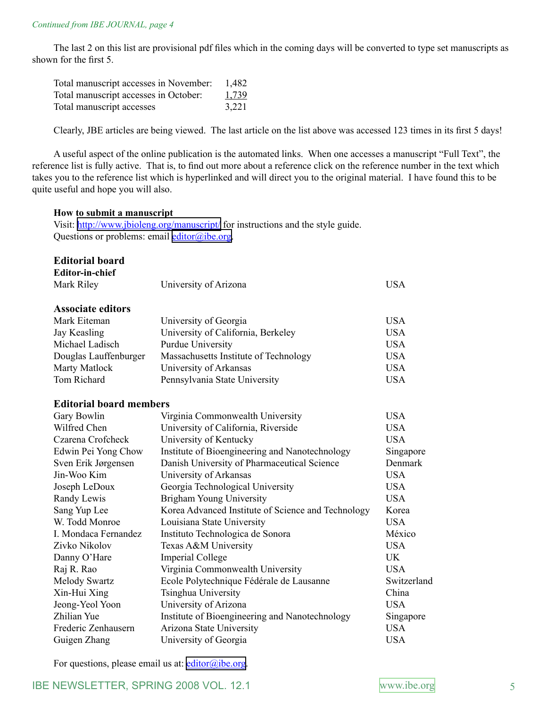The last 2 on this list are provisional pdf files which in the coming days will be converted to type set manuscripts as shown for the first 5.

| Total manuscript accesses in November: | 1,482 |
|----------------------------------------|-------|
| Total manuscript accesses in October:  | 1,739 |
| Total manuscript accesses              | 3,221 |

Clearly, JBE articles are being viewed. The last article on the list above was accessed 123 times in its first 5 days!

A useful aspect of the online publication is the automated links. When one accesses a manuscript "Full Text", the reference list is fully active. That is, to find out more about a reference click on the reference number in the text which takes you to the reference list which is hyperlinked and will direct you to the original material. I have found this to be quite useful and hope you will also.

#### **How to submit a manuscript**

Visit: <http://www.jbioleng.org/manuscript/> for instructions and the style guide. Questions or problems: email [editor@ibe.org](mailto:editor@ibe.org).

#### **Editorial board Editor-in-chief**

| <b>EQILOF-III-CIIIEI</b>       |                                                    |             |
|--------------------------------|----------------------------------------------------|-------------|
| Mark Riley                     | University of Arizona                              | <b>USA</b>  |
| <b>Associate editors</b>       |                                                    |             |
| Mark Eiteman                   | University of Georgia                              | <b>USA</b>  |
| Jay Keasling                   | University of California, Berkeley                 | <b>USA</b>  |
| Michael Ladisch                |                                                    | <b>USA</b>  |
|                                | <b>Purdue University</b>                           |             |
| Douglas Lauffenburger          | Massachusetts Institute of Technology              | <b>USA</b>  |
| Marty Matlock                  | University of Arkansas                             | <b>USA</b>  |
| Tom Richard                    | Pennsylvania State University                      | <b>USA</b>  |
| <b>Editorial board members</b> |                                                    |             |
| Gary Bowlin                    | Virginia Commonwealth University                   | <b>USA</b>  |
| Wilfred Chen                   | University of California, Riverside                | <b>USA</b>  |
| Czarena Crofcheck              | University of Kentucky                             | <b>USA</b>  |
| Edwin Pei Yong Chow            | Institute of Bioengineering and Nanotechnology     | Singapore   |
| Sven Erik Jørgensen            | Danish University of Pharmaceutical Science        | Denmark     |
| Jin-Woo Kim                    | University of Arkansas                             | <b>USA</b>  |
| Joseph LeDoux                  | Georgia Technological University                   | <b>USA</b>  |
| Randy Lewis                    | Brigham Young University                           | <b>USA</b>  |
| Sang Yup Lee                   | Korea Advanced Institute of Science and Technology | Korea       |
| W. Todd Monroe                 | Louisiana State University                         | <b>USA</b>  |
| I. Mondaca Fernandez           | Instituto Technologica de Sonora                   | México      |
| Zivko Nikolov                  | Texas A&M University                               | <b>USA</b>  |
| Danny O'Hare                   | <b>Imperial College</b>                            | <b>UK</b>   |
| Raj R. Rao                     | Virginia Commonwealth University                   | <b>USA</b>  |
| <b>Melody Swartz</b>           | Ecole Polytechnique Fédérale de Lausanne           | Switzerland |
| Xin-Hui Xing                   | Tsinghua University                                | China       |
| Jeong-Yeol Yoon                | University of Arizona                              | <b>USA</b>  |
| Zhilian Yue                    | Institute of Bioengineering and Nanotechnology     | Singapore   |
| Frederic Zenhausern            | Arizona State University                           | <b>USA</b>  |
| Guigen Zhang                   | University of Georgia                              | <b>USA</b>  |
|                                |                                                    |             |

For questions, please email us at:  $editor@ibe.org$ .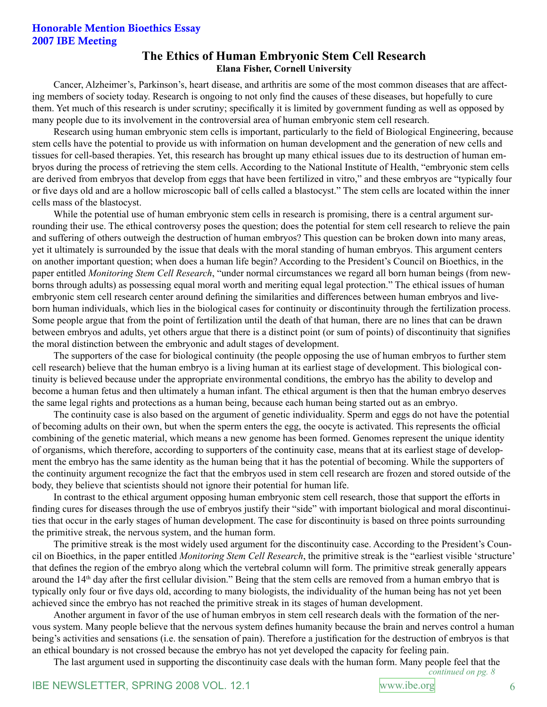### Honorable Mention Bioethics Essay 2007 IBE Meeting

## **The Ethics of Human Embryonic Stem Cell Research Elana Fisher, Cornell University**

Cancer, Alzheimer's, Parkinson's, heart disease, and arthritis are some of the most common diseases that are affecting members of society today. Research is ongoing to not only find the causes of these diseases, but hopefully to cure them. Yet much of this research is under scrutiny; specifically it is limited by government funding as well as opposed by many people due to its involvement in the controversial area of human embryonic stem cell research.

Research using human embryonic stem cells is important, particularly to the field of Biological Engineering, because stem cells have the potential to provide us with information on human development and the generation of new cells and tissues for cell-based therapies. Yet, this research has brought up many ethical issues due to its destruction of human embryos during the process of retrieving the stem cells. According to the National Institute of Health, "embryonic stem cells are derived from embryos that develop from eggs that have been fertilized in vitro," and these embryos are "typically four or five days old and are a hollow microscopic ball of cells called a blastocyst." The stem cells are located within the inner cells mass of the blastocyst.

While the potential use of human embryonic stem cells in research is promising, there is a central argument surrounding their use. The ethical controversy poses the question; does the potential for stem cell research to relieve the pain and suffering of others outweigh the destruction of human embryos? This question can be broken down into many areas, yet it ultimately is surrounded by the issue that deals with the moral standing of human embryos. This argument centers on another important question; when does a human life begin? According to the President's Council on Bioethics, in the paper entitled *Monitoring Stem Cell Research*, "under normal circumstances we regard all born human beings (from newborns through adults) as possessing equal moral worth and meriting equal legal protection." The ethical issues of human embryonic stem cell research center around defining the similarities and differences between human embryos and liveborn human individuals, which lies in the biological cases for continuity or discontinuity through the fertilization process. Some people argue that from the point of fertilization until the death of that human, there are no lines that can be drawn between embryos and adults, yet others argue that there is a distinct point (or sum of points) of discontinuity that signifies the moral distinction between the embryonic and adult stages of development.

The supporters of the case for biological continuity (the people opposing the use of human embryos to further stem cell research) believe that the human embryo is a living human at its earliest stage of development. This biological continuity is believed because under the appropriate environmental conditions, the embryo has the ability to develop and become a human fetus and then ultimately a human infant. The ethical argument is then that the human embryo deserves the same legal rights and protections as a human being, because each human being started out as an embryo.

The continuity case is also based on the argument of genetic individuality. Sperm and eggs do not have the potential of becoming adults on their own, but when the sperm enters the egg, the oocyte is activated. This represents the official combining of the genetic material, which means a new genome has been formed. Genomes represent the unique identity of organisms, which therefore, according to supporters of the continuity case, means that at its earliest stage of development the embryo has the same identity as the human being that it has the potential of becoming. While the supporters of the continuity argument recognize the fact that the embryos used in stem cell research are frozen and stored outside of the body, they believe that scientists should not ignore their potential for human life.

In contrast to the ethical argument opposing human embryonic stem cell research, those that support the efforts in finding cures for diseases through the use of embryos justify their "side" with important biological and moral discontinuities that occur in the early stages of human development. The case for discontinuity is based on three points surrounding the primitive streak, the nervous system, and the human form.

The primitive streak is the most widely used argument for the discontinuity case. According to the President's Council on Bioethics, in the paper entitled *Monitoring Stem Cell Research*, the primitive streak is the "earliest visible 'structure' that defines the region of the embryo along which the vertebral column will form. The primitive streak generally appears around the 14th day after the first cellular division." Being that the stem cells are removed from a human embryo that is typically only four or five days old, according to many biologists, the individuality of the human being has not yet been achieved since the embryo has not reached the primitive streak in its stages of human development.

Another argument in favor of the use of human embryos in stem cell research deals with the formation of the nervous system. Many people believe that the nervous system defines humanity because the brain and nerves control a human being's activities and sensations (i.e. the sensation of pain). Therefore a justification for the destruction of embryos is that an ethical boundary is not crossed because the embryo has not yet developed the capacity for feeling pain.

The last argument used in supporting the discontinuity case deals with the human form. Many people feel that the

*continued on pg.*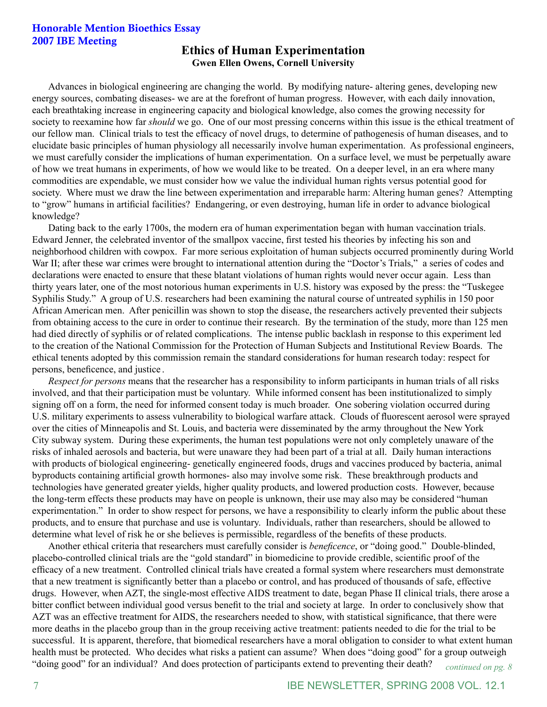## Honorable Mention Bioethics Essay 2007 IBE Meeting **Ethics of Human Experimentation**

# **Gwen Ellen Owens, Cornell University**

Advances in biological engineering are changing the world. By modifying nature- altering genes, developing new energy sources, combating diseases- we are at the forefront of human progress. However, with each daily innovation, each breathtaking increase in engineering capacity and biological knowledge, also comes the growing necessity for society to reexamine how far *should* we go. One of our most pressing concerns within this issue is the ethical treatment of our fellow man. Clinical trials to test the efficacy of novel drugs, to determine of pathogenesis of human diseases, and to elucidate basic principles of human physiology all necessarily involve human experimentation. As professional engineers, we must carefully consider the implications of human experimentation. On a surface level, we must be perpetually aware of how we treat humans in experiments, of how we would like to be treated. On a deeper level, in an era where many commodities are expendable, we must consider how we value the individual human rights versus potential good for society. Where must we draw the line between experimentation and irreparable harm: Altering human genes? Attempting to "grow" humans in artificial facilities? Endangering, or even destroying, human life in order to advance biological knowledge?

Dating back to the early 1700s, the modern era of human experimentation began with human vaccination trials. Edward Jenner, the celebrated inventor of the smallpox vaccine, first tested his theories by infecting his son and neighborhood children with cowpox. Far more serious exploitation of human subjects occurred prominently during World War II; after these war crimes were brought to international attention during the "Doctor's Trials," a series of codes and declarations were enacted to ensure that these blatant violations of human rights would never occur again. Less than thirty years later, one of the most notorious human experiments in U.S. history was exposed by the press: the "Tuskegee Syphilis Study." A group of U.S. researchers had been examining the natural course of untreated syphilis in 150 poor African American men. After penicillin was shown to stop the disease, the researchers actively prevented their subjects from obtaining access to the cure in order to continue their research. By the termination of the study, more than 125 men had died directly of syphilis or of related complications. The intense public backlash in response to this experiment led to the creation of the National Commission for the Protection of Human Subjects and Institutional Review Boards. The ethical tenents adopted by this commission remain the standard considerations for human research today: respect for persons, beneficence, and justice .

*Respect for persons* means that the researcher has a responsibility to inform participants in human trials of all risks involved, and that their participation must be voluntary. While informed consent has been institutionalized to simply signing off on a form, the need for informed consent today is much broader. One sobering violation occurred during U.S. military experiments to assess vulnerability to biological warfare attack. Clouds of fluorescent aerosol were sprayed over the cities of Minneapolis and St. Louis, and bacteria were disseminated by the army throughout the New York City subway system. During these experiments, the human test populations were not only completely unaware of the risks of inhaled aerosols and bacteria, but were unaware they had been part of a trial at all. Daily human interactions with products of biological engineering- genetically engineered foods, drugs and vaccines produced by bacteria, animal byproducts containing artificial growth hormones- also may involve some risk. These breakthrough products and technologies have generated greater yields, higher quality products, and lowered production costs. However, because the long-term effects these products may have on people is unknown, their use may also may be considered "human experimentation." In order to show respect for persons, we have a responsibility to clearly inform the public about these products, and to ensure that purchase and use is voluntary. Individuals, rather than researchers, should be allowed to determine what level of risk he or she believes is permissible, regardless of the benefits of these products.

Another ethical criteria that researchers must carefully consider is *beneficence*, or "doing good." Double-blinded, placebo-controlled clinical trials are the "gold standard" in biomedicine to provide credible, scientific proof of the efficacy of a new treatment. Controlled clinical trials have created a formal system where researchers must demonstrate that a new treatment is significantly better than a placebo or control, and has produced of thousands of safe, effective drugs. However, when AZT, the single-most effective AIDS treatment to date, began Phase II clinical trials, there arose a bitter conflict between individual good versus benefit to the trial and society at large. In order to conclusively show that AZT was an effective treatment for AIDS, the researchers needed to show, with statistical significance, that there were more deaths in the placebo group than in the group receiving active treatment: patients needed to die for the trial to be successful. It is apparent, therefore, that biomedical researchers have a moral obligation to consider to what extent human health must be protected. Who decides what risks a patient can assume? When does "doing good" for a group outweigh "doing good" for an individual? And does protection of participants extend to preventing their death? *continued on pg.*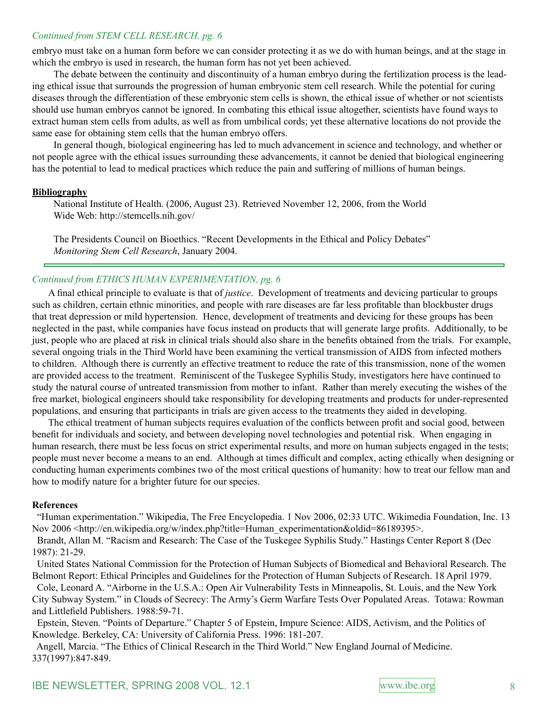#### *Continued from STEM CELL RESEARCH, pg.*

embryo must take on a human form before we can consider protecting it as we do with human beings, and at the stage in which the embryo is used in research, the human form has not yet been achieved.

The debate between the continuity and discontinuity of a human embryo during the fertilization process is the leading ethical issue that surrounds the progression of human embryonic stem cell research. While the potential for curing diseases through the differentiation of these embryonic stem cells is shown, the ethical issue of whether or not scientists should use human embryos cannot be ignored. In combating this ethical issue altogether, scientists have found ways to extract human stem cells from adults, as well as from umbilical cords; yet these alternative locations do not provide the same ease for obtaining stem cells that the human embryo offers.

In general though, biological engineering has led to much advancement in science and technology, and whether or not people agree with the ethical issues surrounding these advancements, it cannot be denied that biological engineering has the potential to lead to medical practices which reduce the pain and suffering of millions of human beings.

#### **Bibliography**

 $\overline{\phantom{0}}$ 

National Institute of Health. (2006, August 23). Retrieved November 12, 2006, from the World Wide Web: http://stemcells.nih.gov/

The Presidents Council on Bioethics. "Recent Developments in the Ethical and Policy Debates" *Monitoring Stem Cell Research*, January 2004.

#### *Continued from ETHICS HUMAN EXPERIMENTATION, pg.*

A final ethical principle to evaluate is that of *justice*. Development of treatments and devicing particular to groups such as children, certain ethnic minorities, and people with rare diseases are far less profitable than blockbuster drugs that treat depression or mild hypertension. Hence, development of treatments and devicing for these groups has been neglected in the past, while companies have focus instead on products that will generate large profits. Additionally, to be just, people who are placed at risk in clinical trials should also share in the benefits obtained from the trials. For example, several ongoing trials in the Third World have been examining the vertical transmission of AIDS from infected mothers to children. Although there is currently an effective treatment to reduce the rate of this transmission, none of the women are provided access to the treatment. Reminiscent of the Tuskegee Syphilis Study, investigators here have continued to study the natural course of untreated transmission from mother to infant. Rather than merely executing the wishes of the free market, biological engineers should take responsibility for developing treatments and products for under-represented populations, and ensuring that participants in trials are given access to the treatments they aided in developing.

The ethical treatment of human subjects requires evaluation of the conflicts between profit and social good, between benefit for individuals and society, and between developing novel technologies and potential risk. When engaging in human research, there must be less focus on strict experimental results, and more on human subjects engaged in the tests; people must never become a means to an end. Although at times difficult and complex, acting ethically when designing or conducting human experiments combines two of the most critical questions of humanity: how to treat our fellow man and how to modify nature for a brighter future for our species.

#### **References**

 "Human experimentation." Wikipedia, The Free Encyclopedia. 1 Nov 2006, 02:33 UTC. Wikimedia Foundation, Inc. 13 Nov 2006 <http://en.wikipedia.org/w/index.php?title=Human\_experimentation&oldid=86189395>.

 Brandt, Allan M. "Racism and Research: The Case of the Tuskegee Syphilis Study." Hastings Center Report 8 (Dec 1987): 21-29.

 United States National Commission for the Protection of Human Subjects of Biomedical and Behavioral Research. The Belmont Report: Ethical Principles and Guidelines for the Protection of Human Subjects of Research. 18 April 1979.

 Cole, Leonard A. "Airborne in the U.S.A.: Open Air Vulnerability Tests in Minneapolis, St. Louis, and the New York City Subway System." in Clouds of Secrecy: The Army's Germ Warfare Tests Over Populated Areas. Totawa: Rowman and Littlefield Publishers. 1988:59-71.

 Epstein, Steven. "Points of Departure." Chapter 5 of Epstein, Impure Science: AIDS, Activism, and the Politics of Knowledge. Berkeley, CA: University of California Press. 1996: 181-207.

 Angell, Marcia. "The Ethics of Clinical Research in the Third World." New England Journal of Medicine. 337(1997):847-849.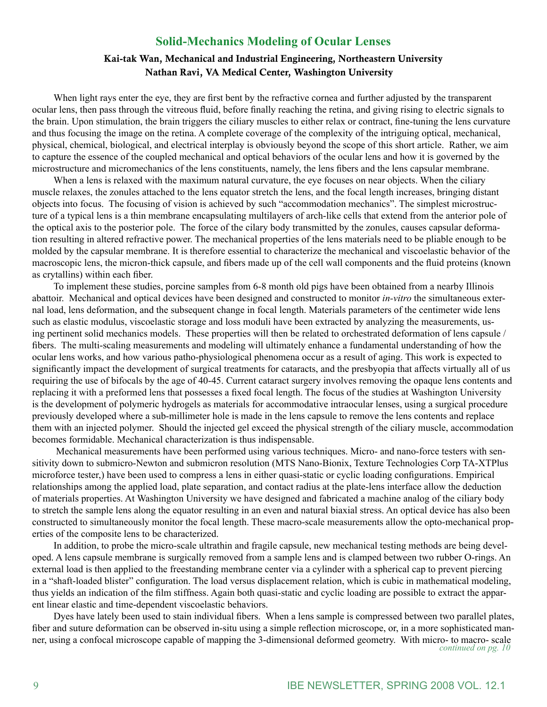#### **Solid-Mechanics Modeling of Ocular Lenses**

#### Kai-tak Wan, Mechanical and Industrial Engineering, Northeastern University Nathan Ravi, VA Medical Center, Washington University

When light rays enter the eye, they are first bent by the refractive cornea and further adjusted by the transparent ocular lens, then pass through the vitreous fluid, before finally reaching the retina, and giving rising to electric signals to the brain. Upon stimulation, the brain triggers the ciliary muscles to either relax or contract, fine-tuning the lens curvature and thus focusing the image on the retina. A complete coverage of the complexity of the intriguing optical, mechanical, physical, chemical, biological, and electrical interplay is obviously beyond the scope of this short article. Rather, we aim to capture the essence of the coupled mechanical and optical behaviors of the ocular lens and how it is governed by the microstructure and micromechanics of the lens constituents, namely, the lens fibers and the lens capsular membrane.

When a lens is relaxed with the maximum natural curvature, the eye focuses on near objects. When the ciliary muscle relaxes, the zonules attached to the lens equator stretch the lens, and the focal length increases, bringing distant objects into focus. The focusing of vision is achieved by such "accommodation mechanics". The simplest microstructure of a typical lens is a thin membrane encapsulating multilayers of arch-like cells that extend from the anterior pole of the optical axis to the posterior pole. The force of the cilary body transmitted by the zonules, causes capsular deformation resulting in altered refractive power. The mechanical properties of the lens materials need to be pliable enough to be molded by the capsular membrane. It is therefore essential to characterize the mechanical and viscoelastic behavior of the macroscopic lens, the micron-thick capsule, and fibers made up of the cell wall components and the fluid proteins (known as crytallins) within each fiber.

To implement these studies, porcine samples from 6-8 month old pigs have been obtained from a nearby Illinois abattoir. Mechanical and optical devices have been designed and constructed to monitor *in-vitro* the simultaneous external load, lens deformation, and the subsequent change in focal length. Materials parameters of the centimeter wide lens such as elastic modulus, viscoelastic storage and loss moduli have been extracted by analyzing the measurements, using pertinent solid mechanics models. These properties will then be related to orchestrated deformation of lens capsule / fibers. The multi-scaling measurements and modeling will ultimately enhance a fundamental understanding of how the ocular lens works, and how various patho-physiological phenomena occur as a result of aging. This work is expected to significantly impact the development of surgical treatments for cataracts, and the presbyopia that affects virtually all of us requiring the use of bifocals by the age of 40-45. Current cataract surgery involves removing the opaque lens contents and replacing it with a preformed lens that possesses a fixed focal length. The focus of the studies at Washington University is the development of polymeric hydrogels as materials for accommodative intraocular lenses, using a surgical procedure previously developed where a sub-millimeter hole is made in the lens capsule to remove the lens contents and replace them with an injected polymer. Should the injected gel exceed the physical strength of the ciliary muscle, accommodation becomes formidable. Mechanical characterization is thus indispensable.

Mechanical measurements have been performed using various techniques. Micro- and nano-force testers with sensitivity down to submicro-Newton and submicron resolution (MTS Nano-Bionix, Texture Technologies Corp TA-XTPlus microforce tester,) have been used to compress a lens in either quasi-static or cyclic loading configurations. Empirical relationships among the applied load, plate separation, and contact radius at the plate-lens interface allow the deduction of materials properties. At Washington University we have designed and fabricated a machine analog of the ciliary body to stretch the sample lens along the equator resulting in an even and natural biaxial stress. An optical device has also been constructed to simultaneously monitor the focal length. These macro-scale measurements allow the opto-mechanical properties of the composite lens to be characterized.

In addition, to probe the micro-scale ultrathin and fragile capsule, new mechanical testing methods are being developed. A lens capsule membrane is surgically removed from a sample lens and is clamped between two rubber O-rings. An external load is then applied to the freestanding membrane center via a cylinder with a spherical cap to prevent piercing in a "shaft-loaded blister" configuration. The load versus displacement relation, which is cubic in mathematical modeling, thus yields an indication of the film stiffness. Again both quasi-static and cyclic loading are possible to extract the apparent linear elastic and time-dependent viscoelastic behaviors.

Dyes have lately been used to stain individual fibers. When a lens sample is compressed between two parallel plates, fiber and suture deformation can be observed in-situ using a simple reflection microscope, or, in a more sophisticated manner, using a confocal microscope capable of mapping the 3-dimensional deformed geometry. With micro- to macro- scale *continued on pg. 10*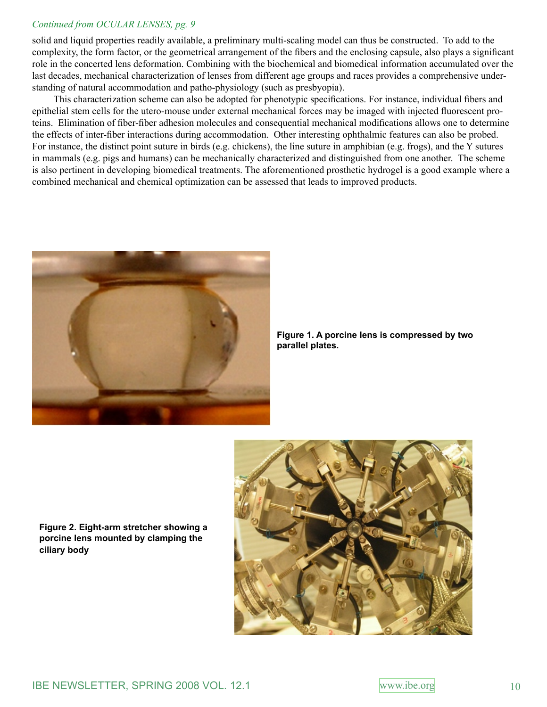#### *Continued from OCULAR LENSES, pg.*

solid and liquid properties readily available, a preliminary multi-scaling model can thus be constructed. To add to the complexity, the form factor, or the geometrical arrangement of the fibers and the enclosing capsule, also plays a significant role in the concerted lens deformation. Combining with the biochemical and biomedical information accumulated over the last decades, mechanical characterization of lenses from different age groups and races provides a comprehensive understanding of natural accommodation and patho-physiology (such as presbyopia).

This characterization scheme can also be adopted for phenotypic specifications. For instance, individual fibers and epithelial stem cells for the utero-mouse under external mechanical forces may be imaged with injected fluorescent proteins. Elimination of fiber-fiber adhesion molecules and consequential mechanical modifications allows one to determine the effects of inter-fiber interactions during accommodation. Other interesting ophthalmic features can also be probed. For instance, the distinct point suture in birds (e.g. chickens), the line suture in amphibian (e.g. frogs), and the Y sutures in mammals (e.g. pigs and humans) can be mechanically characterized and distinguished from one another. The scheme is also pertinent in developing biomedical treatments. The aforementioned prosthetic hydrogel is a good example where a combined mechanical and chemical optimization can be assessed that leads to improved products.



**Figure 1. A porcine lens is compressed by two parallel plates.** 

**Figure 2. Eight-arm stretcher showing a porcine lens mounted by clamping the ciliary body**

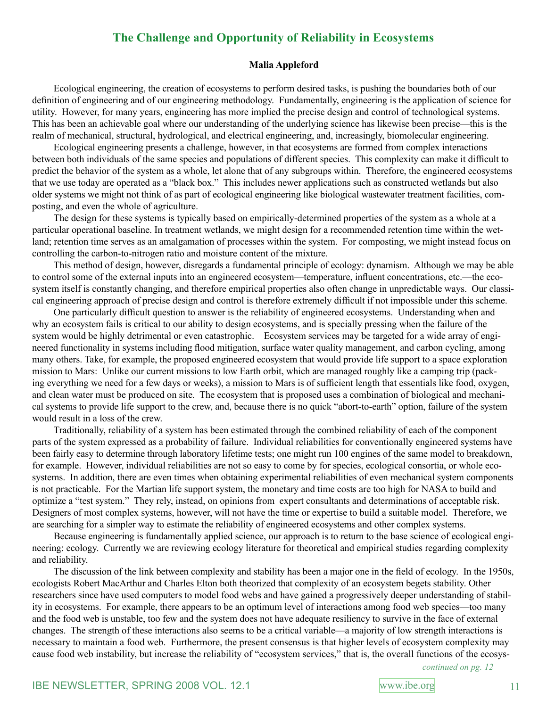## **The Challenge and Opportunity of Reliability in Ecosystems**

#### **Malia Appleford**

Ecological engineering, the creation of ecosystems to perform desired tasks, is pushing the boundaries both of our definition of engineering and of our engineering methodology. Fundamentally, engineering is the application of science for utility. However, for many years, engineering has more implied the precise design and control of technological systems. This has been an achievable goal where our understanding of the underlying science has likewise been precise—this is the realm of mechanical, structural, hydrological, and electrical engineering, and, increasingly, biomolecular engineering.

Ecological engineering presents a challenge, however, in that ecosystems are formed from complex interactions between both individuals of the same species and populations of different species. This complexity can make it difficult to predict the behavior of the system as a whole, let alone that of any subgroups within. Therefore, the engineered ecosystems that we use today are operated as a "black box." This includes newer applications such as constructed wetlands but also older systems we might not think of as part of ecological engineering like biological wastewater treatment facilities, composting, and even the whole of agriculture.

The design for these systems is typically based on empirically-determined properties of the system as a whole at a particular operational baseline. In treatment wetlands, we might design for a recommended retention time within the wetland; retention time serves as an amalgamation of processes within the system. For composting, we might instead focus on controlling the carbon-to-nitrogen ratio and moisture content of the mixture.

This method of design, however, disregards a fundamental principle of ecology: dynamism. Although we may be able to control some of the external inputs into an engineered ecosystem—temperature, influent concentrations, etc.—the ecosystem itself is constantly changing, and therefore empirical properties also often change in unpredictable ways. Our classical engineering approach of precise design and control is therefore extremely difficult if not impossible under this scheme.

One particularly difficult question to answer is the reliability of engineered ecosystems. Understanding when and why an ecosystem fails is critical to our ability to design ecosystems, and is specially pressing when the failure of the system would be highly detrimental or even catastrophic. Ecosystem services may be targeted for a wide array of engineered functionality in systems including flood mitigation, surface water quality management, and carbon cycling, among many others. Take, for example, the proposed engineered ecosystem that would provide life support to a space exploration mission to Mars: Unlike our current missions to low Earth orbit, which are managed roughly like a camping trip (packing everything we need for a few days or weeks), a mission to Mars is of sufficient length that essentials like food, oxygen, and clean water must be produced on site. The ecosystem that is proposed uses a combination of biological and mechanical systems to provide life support to the crew, and, because there is no quick "abort-to-earth" option, failure of the system would result in a loss of the crew.

Traditionally, reliability of a system has been estimated through the combined reliability of each of the component parts of the system expressed as a probability of failure. Individual reliabilities for conventionally engineered systems have been fairly easy to determine through laboratory lifetime tests; one might run 100 engines of the same model to breakdown, for example. However, individual reliabilities are not so easy to come by for species, ecological consortia, or whole ecosystems. In addition, there are even times when obtaining experimental reliabilities of even mechanical system components is not practicable. For the Martian life support system, the monetary and time costs are too high for NASA to build and optimize a "test system." They rely, instead, on opinions from expert consultants and determinations of acceptable risk. Designers of most complex systems, however, will not have the time or expertise to build a suitable model. Therefore, we are searching for a simpler way to estimate the reliability of engineered ecosystems and other complex systems.

Because engineering is fundamentally applied science, our approach is to return to the base science of ecological engineering: ecology. Currently we are reviewing ecology literature for theoretical and empirical studies regarding complexity and reliability.

The discussion of the link between complexity and stability has been a major one in the field of ecology. In the 1950s, ecologists Robert MacArthur and Charles Elton both theorized that complexity of an ecosystem begets stability. Other researchers since have used computers to model food webs and have gained a progressively deeper understanding of stability in ecosystems. For example, there appears to be an optimum level of interactions among food web species—too many and the food web is unstable, too few and the system does not have adequate resiliency to survive in the face of external changes. The strength of these interactions also seems to be a critical variable—a majority of low strength interactions is necessary to maintain a food web. Furthermore, the present consensus is that higher levels of ecosystem complexity may cause food web instability, but increase the reliability of "ecosystem services," that is, the overall functions of the ecosys-

*continued on pg. 12*